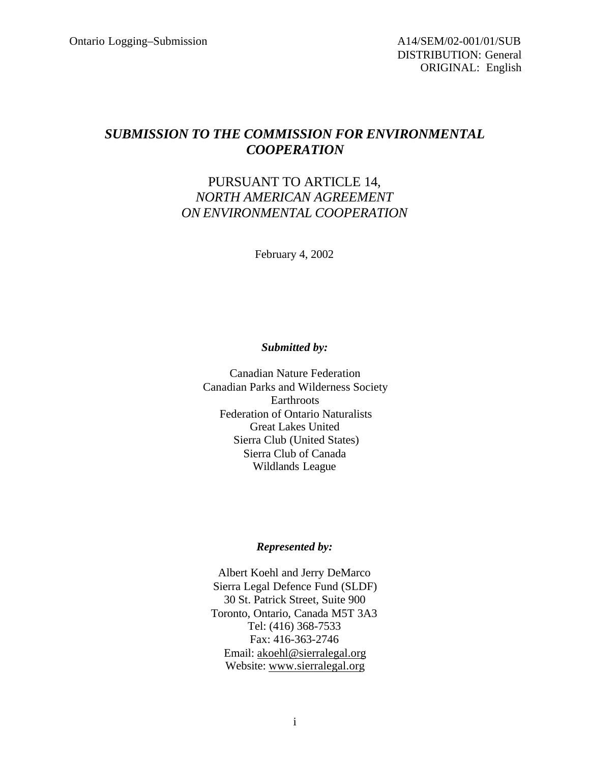# *SUBMISSION TO THE COMMISSION FOR ENVIRONMENTAL COOPERATION*

# PURSUANT TO ARTICLE 14, *NORTH AMERICAN AGREEMENT ON ENVIRONMENTAL COOPERATION*

February 4, 2002

### *Submitted by:*

Canadian Nature Federation Canadian Parks and Wilderness Society Earthroots Federation of Ontario Naturalists Great Lakes United Sierra Club (United States) Sierra Club of Canada Wildlands League

#### *Represented by:*

Albert Koehl and Jerry DeMarco Sierra Legal Defence Fund (SLDF) 30 St. Patrick Street, Suite 900 Toronto, Ontario, Canada M5T 3A3 Tel: (416) 368-7533 Fax: 416-363-2746 Email: akoehl@sierralegal.org Website: www.sierralegal.org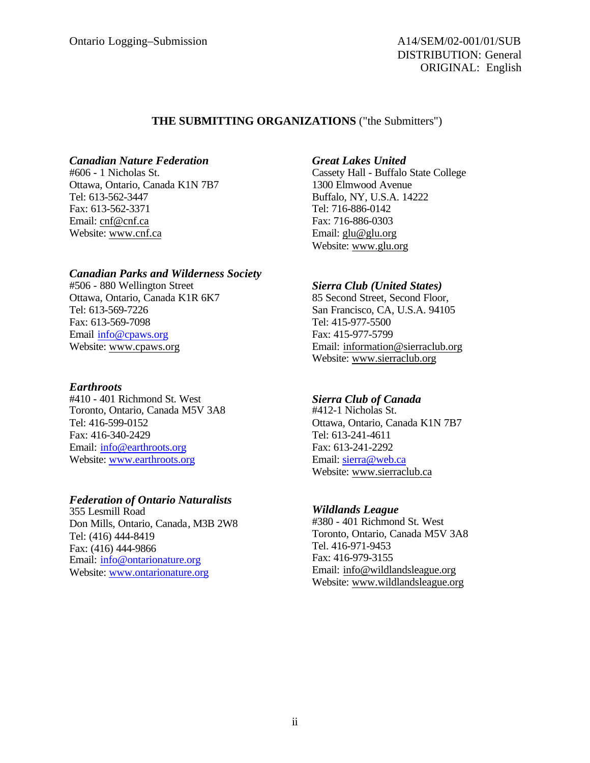DISTRIBUTION: General ORIGINAL: English

#### **THE SUBMITTING ORGANIZATIONS** ("the Submitters")

#### *Canadian Nature Federation*

#606 - 1 Nicholas St. Ottawa, Ontario, Canada K1N 7B7 Tel: 613-562-3447 Fax: 613-562-3371 Email: cnf@cnf.ca Website: www.cnf.ca

#### *Canadian Parks and Wilderness Society*

#506 - 880 Wellington Street Ottawa, Ontario, Canada K1R 6K7 Tel: 613-569-7226 Fax: 613-569-7098 Email info@cpaws.org Website: www.cpaws.org

#### *Earthroots*

#410 - 401 Richmond St. West Toronto, Ontario, Canada M5V 3A8 Tel: 416-599-0152 Fax: 416-340-2429 Email: info@earthroots.org Website: www.earthroots.org

#### *Federation of Ontario Naturalists*

355 Lesmill Road Don Mills, Ontario, Canada, M3B 2W8 Tel: (416) 444-8419 Fax: (416) 444-9866 Email: info@ontarionature.org Website: www.ontarionature.org

#### *Great Lakes United*

Cassety Hall - Buffalo State College 1300 Elmwood Avenue Buffalo, NY, U.S.A. 14222 Tel: 716-886-0142 Fax: 716-886-0303 Email: glu@glu.org Website: www.glu.org

### *Sierra Club (United States)*

85 Second Street, Second Floor, San Francisco, CA, U.S.A. 94105 Tel: 415-977-5500 Fax: 415-977-5799 Email: information@sierraclub.org Website: www.sierraclub.org

#### *Sierra Club of Canada*

#412-1 Nicholas St. Ottawa, Ontario, Canada K1N 7B7 Tel: 613-241-4611 Fax: 613-241-2292 Email: sierra@web.ca Website: www.sierraclub.ca

#### *Wildlands League*

#380 - 401 Richmond St. West Toronto, Ontario, Canada M5V 3A8 Tel. 416-971-9453 Fax: 416-979-3155 Email: info@wildlandsleague.org Website: www.wildlandsleague.org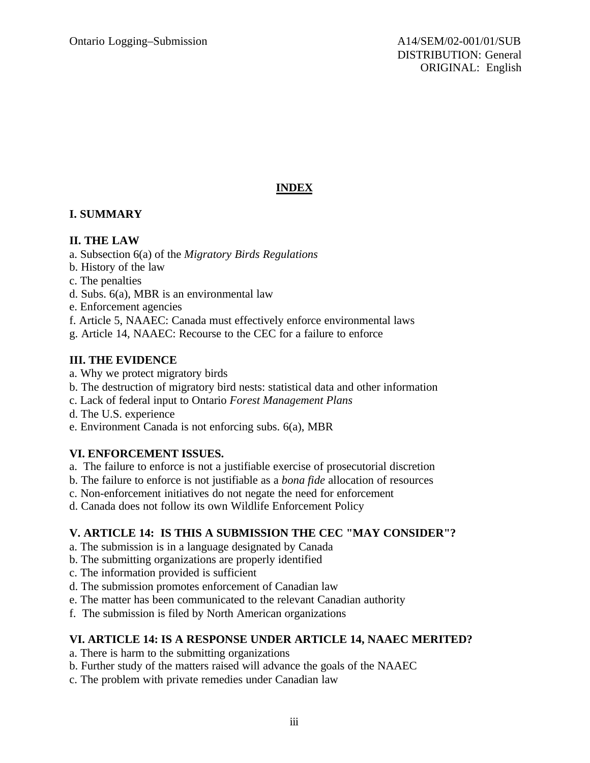# **INDEX**

# **I. SUMMARY**

## **II. THE LAW**

- a. Subsection 6(a) of the *Migratory Birds Regulations*
- b. History of the law
- c. The penalties
- d. Subs. 6(a), MBR is an environmental law
- e. Enforcement agencies
- f. Article 5, NAAEC: Canada must effectively enforce environmental laws
- g. Article 14, NAAEC: Recourse to the CEC for a failure to enforce

# **III. THE EVIDENCE**

- a. Why we protect migratory birds
- b. The destruction of migratory bird nests: statistical data and other information
- c. Lack of federal input to Ontario *Forest Management Plans*
- d. The U.S. experience
- e. Environment Canada is not enforcing subs. 6(a), MBR

# **VI. ENFORCEMENT ISSUES.**

- a. The failure to enforce is not a justifiable exercise of prosecutorial discretion
- b. The failure to enforce is not justifiable as a *bona fide* allocation of resources
- c. Non-enforcement initiatives do not negate the need for enforcement
- d. Canada does not follow its own Wildlife Enforcement Policy

# **V. ARTICLE 14: IS THIS A SUBMISSION THE CEC "MAY CONSIDER"?**

- a. The submission is in a language designated by Canada
- b. The submitting organizations are properly identified
- c. The information provided is sufficient
- d. The submission promotes enforcement of Canadian law
- e. The matter has been communicated to the relevant Canadian authority
- f. The submission is filed by North American organizations

# **VI. ARTICLE 14: IS A RESPONSE UNDER ARTICLE 14, NAAEC MERITED?**

- a. There is harm to the submitting organizations
- b. Further study of the matters raised will advance the goals of the NAAEC
- c. The problem with private remedies under Canadian law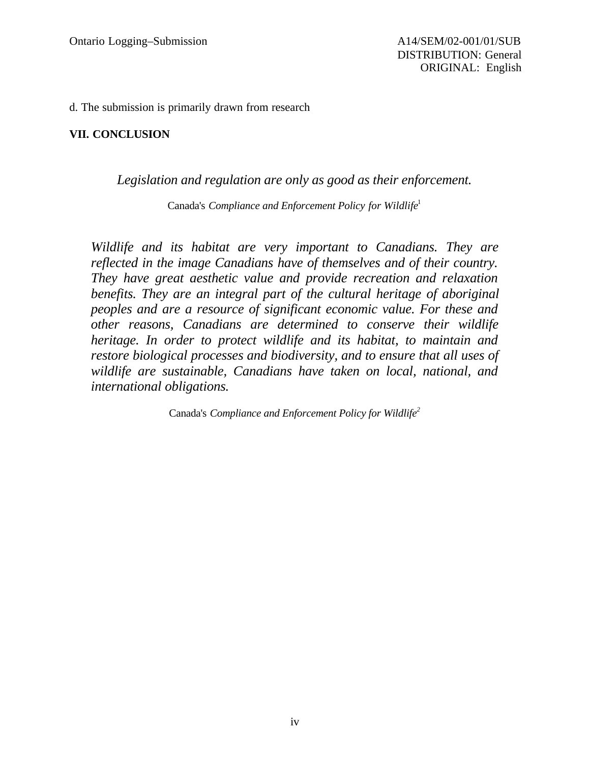d. The submission is primarily drawn from research

### **VII. CONCLUSION**

### *Legislation and regulation are only as good as their enforcement.*

Canada's *Compliance and Enforcement Policy for Wildlife*<sup>1</sup>

*Wildlife and its habitat are very important to Canadians. They are reflected in the image Canadians have of themselves and of their country. They have great aesthetic value and provide recreation and relaxation benefits. They are an integral part of the cultural heritage of aboriginal peoples and are a resource of significant economic value. For these and other reasons, Canadians are determined to conserve their wildlife heritage. In order to protect wildlife and its habitat, to maintain and restore biological processes and biodiversity, and to ensure that all uses of wildlife are sustainable, Canadians have taken on local, national, and international obligations.*

Canada's *Compliance and Enforcement Policy for Wildlife<sup>2</sup>*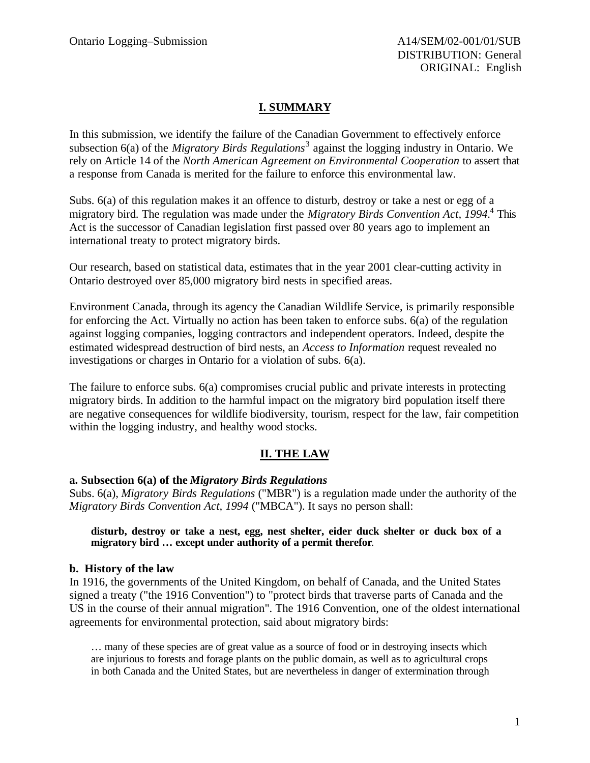# **I. SUMMARY**

In this submission, we identify the failure of the Canadian Government to effectively enforce subsection 6(a) of the *Migratory Birds Regulations*<sup>3</sup> against the logging industry in Ontario. We rely on Article 14 of the *North American Agreement on Environmental Cooperation* to assert that a response from Canada is merited for the failure to enforce this environmental law.

Subs. 6(a) of this regulation makes it an offence to disturb, destroy or take a nest or egg of a migratory bird. The regulation was made under the *Migratory Birds Convention Act, 1994.*<sup>4</sup> This Act is the successor of Canadian legislation first passed over 80 years ago to implement an international treaty to protect migratory birds.

Our research, based on statistical data, estimates that in the year 2001 clear-cutting activity in Ontario destroyed over 85,000 migratory bird nests in specified areas.

Environment Canada, through its agency the Canadian Wildlife Service, is primarily responsible for enforcing the Act. Virtually no action has been taken to enforce subs. 6(a) of the regulation against logging companies, logging contractors and independent operators. Indeed, despite the estimated widespread destruction of bird nests, an *Access to Information* request revealed no investigations or charges in Ontario for a violation of subs. 6(a).

The failure to enforce subs. 6(a) compromises crucial public and private interests in protecting migratory birds. In addition to the harmful impact on the migratory bird population itself there are negative consequences for wildlife biodiversity, tourism, respect for the law, fair competition within the logging industry, and healthy wood stocks.

# **II. THE LAW**

### **a. Subsection 6(a) of the** *Migratory Birds Regulations*

Subs. 6(a), *Migratory Birds Regulations* ("MBR") is a regulation made under the authority of the *Migratory Birds Convention Act, 1994* ("MBCA"). It says no person shall:

**disturb, destroy or take a nest, egg, nest shelter, eider duck shelter or duck box of a migratory bird … except under authority of a permit therefor**.

### **b. History of the law**

In 1916, the governments of the United Kingdom, on behalf of Canada, and the United States signed a treaty ("the 1916 Convention") to "protect birds that traverse parts of Canada and the US in the course of their annual migration". The 1916 Convention, one of the oldest international agreements for environmental protection, said about migratory birds:

… many of these species are of great value as a source of food or in destroying insects which are injurious to forests and forage plants on the public domain, as well as to agricultural crops in both Canada and the United States, but are nevertheless in danger of extermination through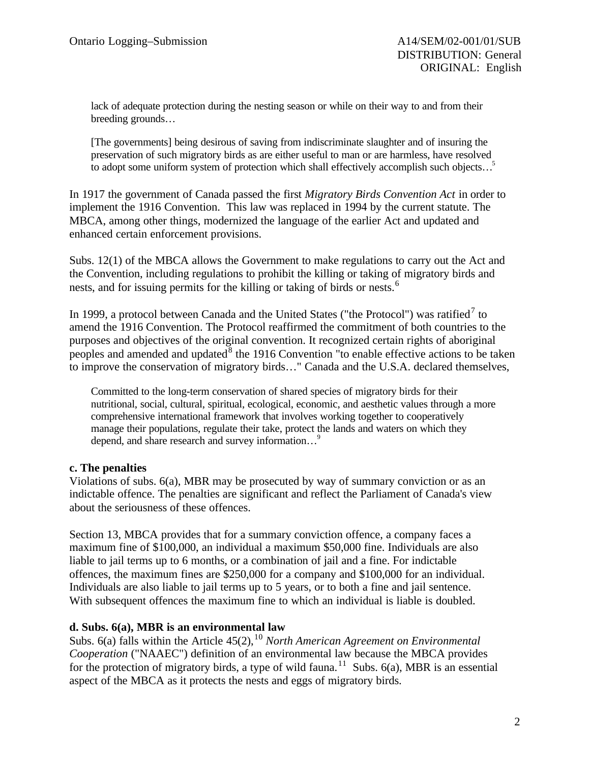lack of adequate protection during the nesting season or while on their way to and from their breeding grounds…

[The governments] being desirous of saving from indiscriminate slaughter and of insuring the preservation of such migratory birds as are either useful to man or are harmless, have resolved to adopt some uniform system of protection which shall effectively accomplish such objects...<sup>5</sup>

In 1917 the government of Canada passed the first *Migratory Birds Convention Act* in order to implement the 1916 Convention. This law was replaced in 1994 by the current statute. The MBCA, among other things, modernized the language of the earlier Act and updated and enhanced certain enforcement provisions.

Subs. 12(1) of the MBCA allows the Government to make regulations to carry out the Act and the Convention, including regulations to prohibit the killing or taking of migratory birds and nests, and for issuing permits for the killing or taking of birds or nests.<sup>6</sup>

In 1999, a protocol between Canada and the United States ("the Protocol") was ratified<sup>7</sup> to amend the 1916 Convention. The Protocol reaffirmed the commitment of both countries to the purposes and objectives of the original convention. It recognized certain rights of aboriginal peoples and amended and updated  $8$  the 1916 Convention "to enable effective actions to be taken to improve the conservation of migratory birds…" Canada and the U.S.A. declared themselves,

Committed to the long-term conservation of shared species of migratory birds for their nutritional, social, cultural, spiritual, ecological, economic, and aesthetic values through a more comprehensive international framework that involves working together to cooperatively manage their populations, regulate their take, protect the lands and waters on which they depend, and share research and survey information...<sup>9</sup>

### **c. The penalties**

Violations of subs. 6(a), MBR may be prosecuted by way of summary conviction or as an indictable offence. The penalties are significant and reflect the Parliament of Canada's view about the seriousness of these offences.

Section 13, MBCA provides that for a summary conviction offence, a company faces a maximum fine of \$100,000, an individual a maximum \$50,000 fine. Individuals are also liable to jail terms up to 6 months, or a combination of jail and a fine. For indictable offences, the maximum fines are \$250,000 for a company and \$100,000 for an individual. Individuals are also liable to jail terms up to 5 years, or to both a fine and jail sentence. With subsequent offences the maximum fine to which an individual is liable is doubled.

## **d. Subs. 6(a), MBR is an environmental law**

Subs. 6(a) falls within the Article 45(2), <sup>10</sup> *North American Agreement on Environmental Cooperation* ("NAAEC") definition of an environmental law because the MBCA provides for the protection of migratory birds, a type of wild fauna.<sup>11</sup> Subs. 6(a), MBR is an essential aspect of the MBCA as it protects the nests and eggs of migratory birds.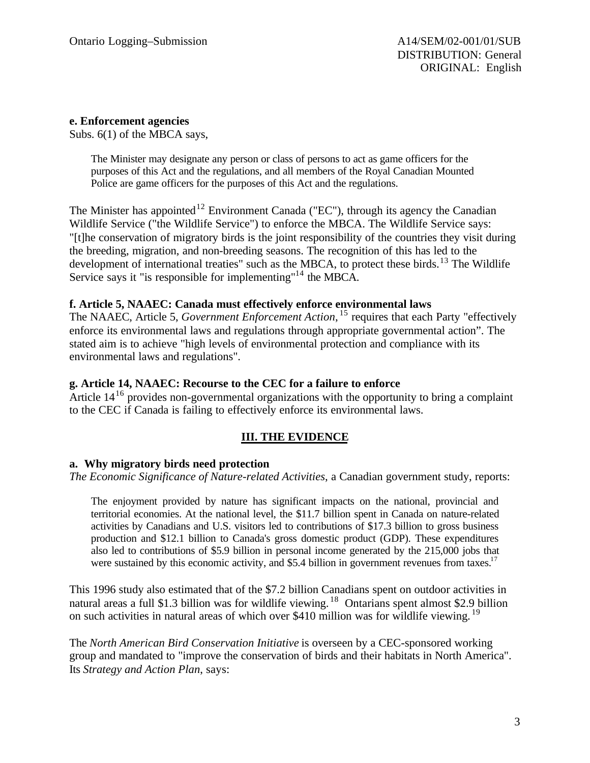### **e. Enforcement agencies**

Subs. 6(1) of the MBCA says,

The Minister may designate any person or class of persons to act as game officers for the purposes of this Act and the regulations, and all members of the Royal Canadian Mounted Police are game officers for the purposes of this Act and the regulations.

The Minister has appointed<sup>12</sup> Environment Canada ("EC"), through its agency the Canadian Wildlife Service ("the Wildlife Service") to enforce the MBCA. The Wildlife Service says: "[t]he conservation of migratory birds is the joint responsibility of the countries they visit during the breeding, migration, and non-breeding seasons. The recognition of this has led to the development of international treaties" such as the MBCA, to protect these birds.<sup>13</sup> The Wildlife Service says it "is responsible for implementing"<sup>14</sup> the MBCA.

### **f. Article 5, NAAEC: Canada must effectively enforce environmental laws**

The NAAEC, Article 5, *Government Enforcement Action*, <sup>15</sup> requires that each Party "effectively enforce its environmental laws and regulations through appropriate governmental action". The stated aim is to achieve "high levels of environmental protection and compliance with its environmental laws and regulations".

### **g. Article 14, NAAEC: Recourse to the CEC for a failure to enforce**

Article  $14^{16}$  provides non-governmental organizations with the opportunity to bring a complaint to the CEC if Canada is failing to effectively enforce its environmental laws.

# **III. THE EVIDENCE**

### **a. Why migratory birds need protection**

*The Economic Significance of Nature-related Activities*, a Canadian government study, reports:

The enjoyment provided by nature has significant impacts on the national, provincial and territorial economies. At the national level, the \$11.7 billion spent in Canada on nature-related activities by Canadians and U.S. visitors led to contributions of \$17.3 billion to gross business production and \$12.1 billion to Canada's gross domestic product (GDP). These expenditures also led to contributions of \$5.9 billion in personal income generated by the 215,000 jobs that were sustained by this economic activity, and \$5.4 billion in government revenues from taxes.<sup>17</sup>

This 1996 study also estimated that of the \$7.2 billion Canadians spent on outdoor activities in natural areas a full \$1.3 billion was for wildlife viewing.<sup>18</sup> Ontarians spent almost \$2.9 billion on such activities in natural areas of which over \$410 million was for wildlife viewing. <sup>19</sup>

The *North American Bird Conservation Initiative* is overseen by a CEC-sponsored working group and mandated to "improve the conservation of birds and their habitats in North America". Its *Strategy and Action Plan*, says: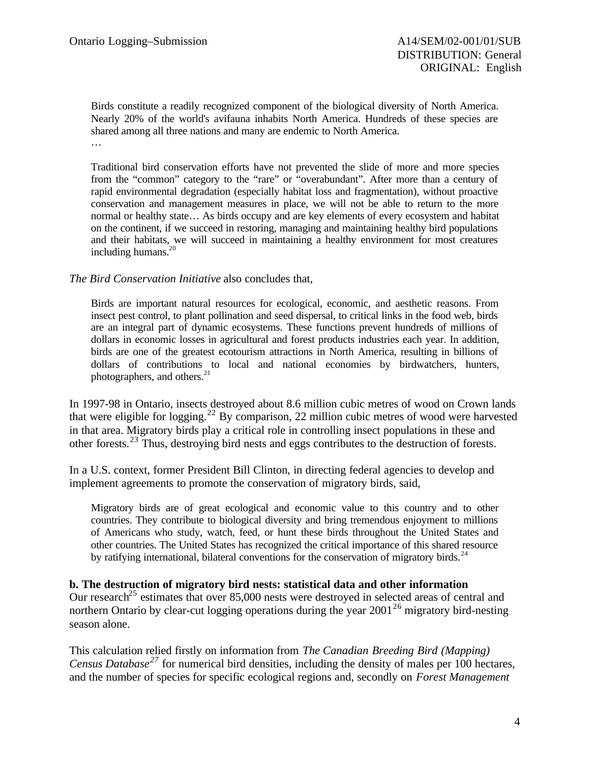Birds constitute a readily recognized component of the biological diversity of North America. Nearly 20% of the world's avifauna inhabits North America. Hundreds of these species are shared among all three nations and many are endemic to North America. …

Traditional bird conservation efforts have not prevented the slide of more and more species from the "common" category to the "rare" or "overabundant". After more than a century of rapid environmental degradation (especially habitat loss and fragmentation), without proactive conservation and management measures in place, we will not be able to return to the more normal or healthy state… As birds occupy and are key elements of every ecosystem and habitat on the continent, if we succeed in restoring, managing and maintaining healthy bird populations and their habitats, we will succeed in maintaining a healthy environment for most creatures including humans. $20$ 

*The Bird Conservation Initiative* also concludes that,

Birds are important natural resources for ecological, economic, and aesthetic reasons. From insect pest control, to plant pollination and seed dispersal, to critical links in the food web, birds are an integral part of dynamic ecosystems. These functions prevent hundreds of millions of dollars in economic losses in agricultural and forest products industries each year. In addition, birds are one of the greatest ecotourism attractions in North America, resulting in billions of dollars of contributions to local and national economies by birdwatchers, hunters, photographers, and others.<sup>21</sup>

In 1997-98 in Ontario, insects destroyed about 8.6 million cubic metres of wood on Crown lands that were eligible for logging.<sup>22</sup> By comparison, 22 million cubic metres of wood were harvested in that area. Migratory birds play a critical role in controlling insect populations in these and other forests.<sup>23</sup> Thus, destroying bird nests and eggs contributes to the destruction of forests.

In a U.S. context, former President Bill Clinton, in directing federal agencies to develop and implement agreements to promote the conservation of migratory birds, said,

Migratory birds are of great ecological and economic value to this country and to other countries. They contribute to biological diversity and bring tremendous enjoyment to millions of Americans who study, watch, feed, or hunt these birds throughout the United States and other countries. The United States has recognized the critical importance of this shared resource by ratifying international, bilateral conventions for the conservation of migratory birds.<sup>24</sup>

**b. The destruction of migratory bird nests: statistical data and other information** Our research<sup>25</sup> estimates that over 85,000 nests were destroyed in selected areas of central and northern Ontario by clear-cut logging operations during the year  $2001^{26}$  migratory bird-nesting season alone.

This calculation relied firstly on information from *The Canadian Breeding Bird (Mapping) Census Database<sup>27</sup>* for numerical bird densities, including the density of males per 100 hectares, and the number of species for specific ecological regions and, secondly on *Forest Management*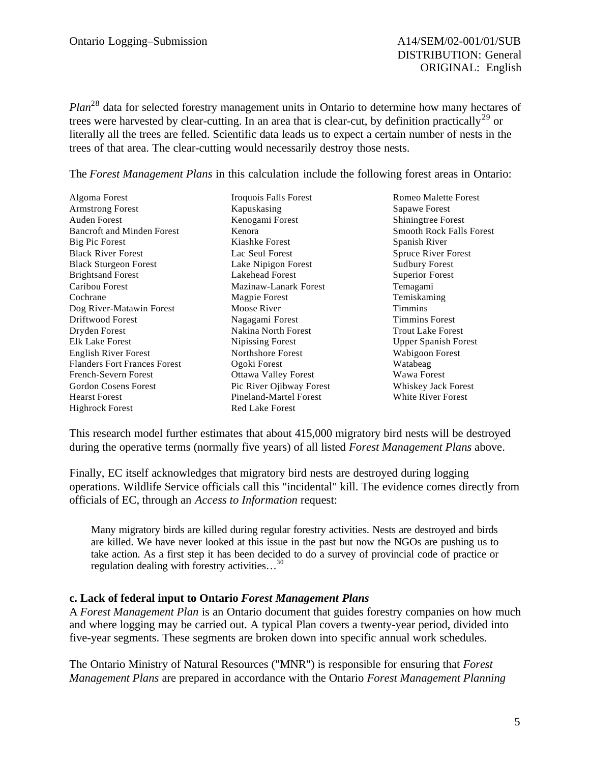*Plan*<sup>28</sup> data for selected forestry management units in Ontario to determine how many hectares of trees were harvested by clear-cutting. In an area that is clear-cut, by definition practically<sup>29</sup> or literally all the trees are felled. Scientific data leads us to expect a certain number of nests in the trees of that area. The clear-cutting would necessarily destroy those nests.

The *Forest Management Plans* in this calculation include the following forest areas in Ontario:

Algoma Forest Armstrong Forest Auden Forest Bancroft and Minden Forest Big Pic Forest Black River Forest Black Sturgeon Forest Brightsand Forest Caribou Forest Cochrane Dog River-Matawin Forest Driftwood Forest Dryden Forest Elk Lake Forest English River Forest Flanders Fort Frances Forest French-Severn Forest Gordon Cosens Forest Hearst Forest Highrock Forest

Iroquois Falls Forest Kapuskasing Kenogami Forest Kenora Kiashke Forest Lac Seul Forest Lake Nipigon Forest Lakehead Forest Mazinaw-Lanark Forest Magpie Forest Moose River Nagagami Forest Nakina North Forest Nipissing Forest Northshore Forest Ogoki Forest Ottawa Valley Forest Pic River Ojibway Forest Pineland-Martel Forest Red Lake Forest

Romeo Malette Forest Sapawe Forest Shiningtree Forest Smooth Rock Falls Forest Spanish River Spruce River Forest Sudbury Forest Superior Forest Temagami Temiskaming Timmins Timmins Forest Trout Lake Forest Upper Spanish Forest Wabigoon Forest Watabeag Wawa Forest Whiskey Jack Forest White River Forest

This research model further estimates that about 415,000 migratory bird nests will be destroyed during the operative terms (normally five years) of all listed *Forest Management Plans* above.

Finally, EC itself acknowledges that migratory bird nests are destroyed during logging operations. Wildlife Service officials call this "incidental" kill. The evidence comes directly from officials of EC, through an *Access to Information* request:

Many migratory birds are killed during regular forestry activities. Nests are destroyed and birds are killed. We have never looked at this issue in the past but now the NGOs are pushing us to take action. As a first step it has been decided to do a survey of provincial code of practice or regulation dealing with forestry activities…<sup>30</sup>

### **c. Lack of federal input to Ontario** *Forest Management Plans*

A *Forest Management Plan* is an Ontario document that guides forestry companies on how much and where logging may be carried out. A typical Plan covers a twenty-year period, divided into five-year segments. These segments are broken down into specific annual work schedules.

The Ontario Ministry of Natural Resources ("MNR") is responsible for ensuring that *Forest Management Plans* are prepared in accordance with the Ontario *Forest Management Planning*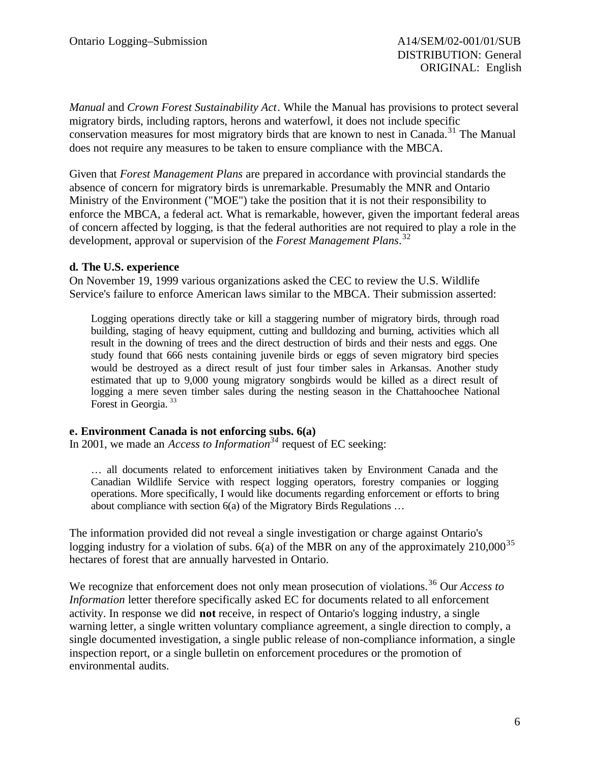*Manual* and *Crown Forest Sustainability Act*. While the Manual has provisions to protect several migratory birds, including raptors, herons and waterfowl, it does not include specific conservation measures for most migratory birds that are known to nest in Canada.<sup>31</sup> The Manual does not require any measures to be taken to ensure compliance with the MBCA.

Given that *Forest Management Plans* are prepared in accordance with provincial standards the absence of concern for migratory birds is unremarkable. Presumably the MNR and Ontario Ministry of the Environment ("MOE") take the position that it is not their responsibility to enforce the MBCA, a federal act. What is remarkable, however, given the important federal areas of concern affected by logging, is that the federal authorities are not required to play a role in the development, approval or supervision of the *Forest Management Plans*. 32

### **d. The U.S. experience**

On November 19, 1999 various organizations asked the CEC to review the U.S. Wildlife Service's failure to enforce American laws similar to the MBCA. Their submission asserted:

Logging operations directly take or kill a staggering number of migratory birds, through road building, staging of heavy equipment, cutting and bulldozing and burning, activities which all result in the downing of trees and the direct destruction of birds and their nests and eggs. One study found that 666 nests containing juvenile birds or eggs of seven migratory bird species would be destroyed as a direct result of just four timber sales in Arkansas. Another study estimated that up to 9,000 young migratory songbirds would be killed as a direct result of logging a mere seven timber sales during the nesting season in the Chattahoochee National Forest in Georgia.<sup>33</sup>

### **e. Environment Canada is not enforcing subs. 6(a)**

In 2001, we made an *Access to Information<sup>34</sup>* request of EC seeking:

… all documents related to enforcement initiatives taken by Environment Canada and the Canadian Wildlife Service with respect logging operators, forestry companies or logging operations. More specifically, I would like documents regarding enforcement or efforts to bring about compliance with section 6(a) of the Migratory Birds Regulations …

The information provided did not reveal a single investigation or charge against Ontario's logging industry for a violation of subs.  $6(a)$  of the MBR on any of the approximately  $210,000^{35}$ hectares of forest that are annually harvested in Ontario.

We recognize that enforcement does not only mean prosecution of violations.<sup>36</sup> Our *Access to Information* letter therefore specifically asked EC for documents related to all enforcement activity. In response we did **not** receive, in respect of Ontario's logging industry, a single warning letter, a single written voluntary compliance agreement, a single direction to comply, a single documented investigation, a single public release of non-compliance information, a single inspection report, or a single bulletin on enforcement procedures or the promotion of environmental audits.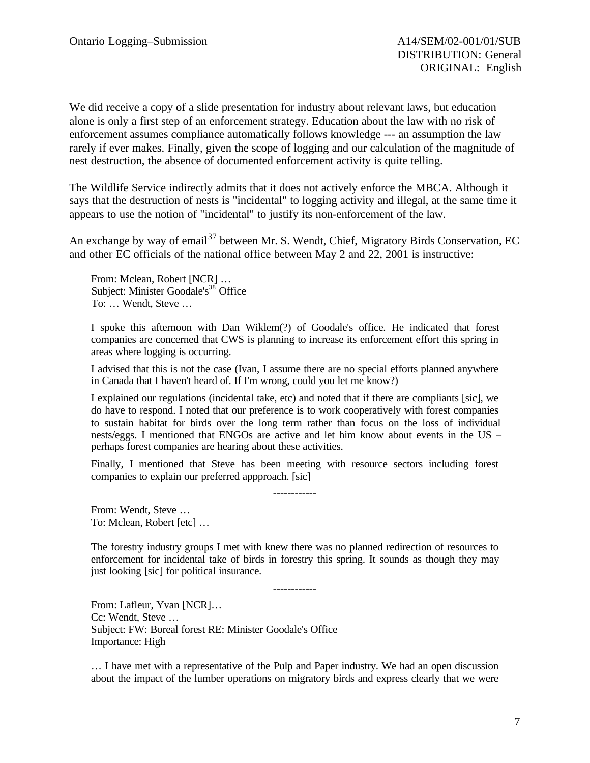We did receive a copy of a slide presentation for industry about relevant laws, but education alone is only a first step of an enforcement strategy. Education about the law with no risk of enforcement assumes compliance automatically follows knowledge --- an assumption the law rarely if ever makes. Finally, given the scope of logging and our calculation of the magnitude of nest destruction, the absence of documented enforcement activity is quite telling.

The Wildlife Service indirectly admits that it does not actively enforce the MBCA. Although it says that the destruction of nests is "incidental" to logging activity and illegal, at the same time it appears to use the notion of "incidental" to justify its non-enforcement of the law.

An exchange by way of email<sup>37</sup> between Mr. S. Wendt, Chief, Migratory Birds Conservation, EC and other EC officials of the national office between May 2 and 22, 2001 is instructive:

From: Mclean, Robert [NCR] … Subject: Minister Goodale's<sup>38</sup> Office To: … Wendt, Steve …

I spoke this afternoon with Dan Wiklem(?) of Goodale's office. He indicated that forest companies are concerned that CWS is planning to increase its enforcement effort this spring in areas where logging is occurring.

I advised that this is not the case (Ivan, I assume there are no special efforts planned anywhere in Canada that I haven't heard of. If I'm wrong, could you let me know?)

I explained our regulations (incidental take, etc) and noted that if there are compliants [sic], we do have to respond. I noted that our preference is to work cooperatively with forest companies to sustain habitat for birds over the long term rather than focus on the loss of individual nests/eggs. I mentioned that ENGOs are active and let him know about events in the US – perhaps forest companies are hearing about these activities.

Finally, I mentioned that Steve has been meeting with resource sectors including forest companies to explain our preferred appproach. [sic]

------------

From: Wendt, Steve … To: Mclean, Robert [etc] …

The forestry industry groups I met with knew there was no planned redirection of resources to enforcement for incidental take of birds in forestry this spring. It sounds as though they may just looking [sic] for political insurance.

------------

From: Lafleur, Yvan [NCR]… Cc: Wendt, Steve … Subject: FW: Boreal forest RE: Minister Goodale's Office Importance: High

… I have met with a representative of the Pulp and Paper industry. We had an open discussion about the impact of the lumber operations on migratory birds and express clearly that we were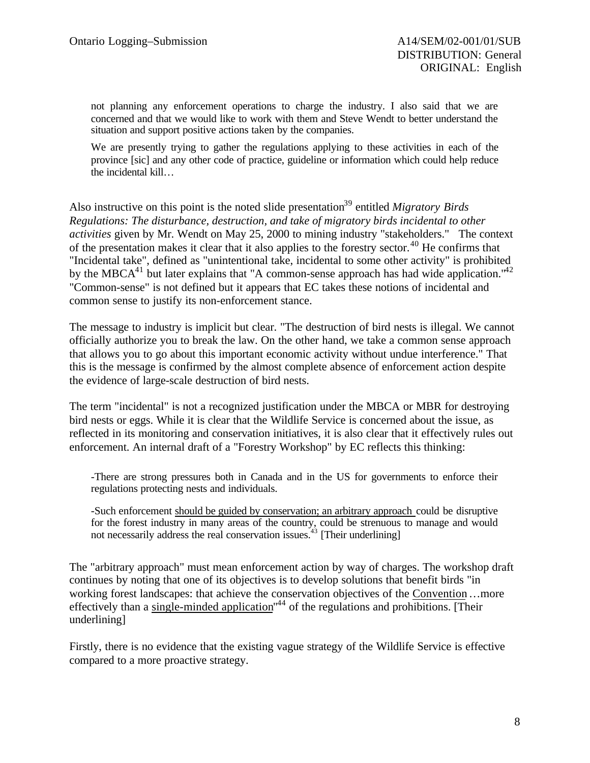not planning any enforcement operations to charge the industry. I also said that we are concerned and that we would like to work with them and Steve Wendt to better understand the situation and support positive actions taken by the companies.

We are presently trying to gather the regulations applying to these activities in each of the province [sic] and any other code of practice, guideline or information which could help reduce the incidental kill…

Also instructive on this point is the noted slide presentation<sup>39</sup> entitled *Migratory Birds Regulations: The disturbance, destruction, and take of migratory birds incidental to other activities* given by Mr. Wendt on May 25, 2000 to mining industry "stakeholders." The context of the presentation makes it clear that it also applies to the forestry sector.<sup>40</sup> He confirms that "Incidental take", defined as "unintentional take, incidental to some other activity" is prohibited by the MBCA $^{41}$  but later explains that "A common-sense approach has had wide application."<sup>42</sup> "Common-sense" is not defined but it appears that EC takes these notions of incidental and common sense to justify its non-enforcement stance.

The message to industry is implicit but clear. "The destruction of bird nests is illegal. We cannot officially authorize you to break the law. On the other hand, we take a common sense approach that allows you to go about this important economic activity without undue interference." That this is the message is confirmed by the almost complete absence of enforcement action despite the evidence of large-scale destruction of bird nests.

The term "incidental" is not a recognized justification under the MBCA or MBR for destroying bird nests or eggs. While it is clear that the Wildlife Service is concerned about the issue, as reflected in its monitoring and conservation initiatives, it is also clear that it effectively rules out enforcement. An internal draft of a "Forestry Workshop" by EC reflects this thinking:

-There are strong pressures both in Canada and in the US for governments to enforce their regulations protecting nests and individuals.

-Such enforcement should be guided by conservation; an arbitrary approach could be disruptive for the forest industry in many areas of the country, could be strenuous to manage and would not necessarily address the real conservation issues.<sup> $43$ </sup> [Their underlining]

The "arbitrary approach" must mean enforcement action by way of charges. The workshop draft continues by noting that one of its objectives is to develop solutions that benefit birds "in working forest landscapes: that achieve the conservation objectives of the Convention …more effectively than a single-minded application<sup>144</sup> of the regulations and prohibitions. [Their underlining]

Firstly, there is no evidence that the existing vague strategy of the Wildlife Service is effective compared to a more proactive strategy.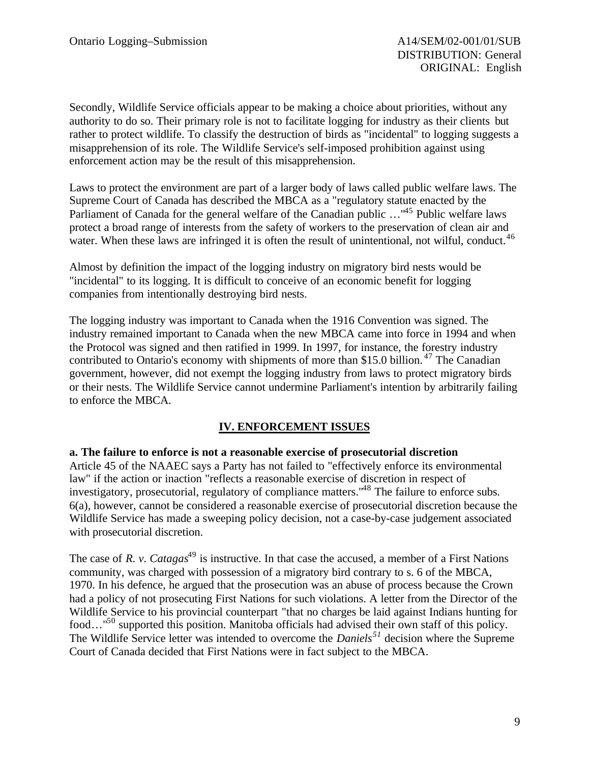Secondly, Wildlife Service officials appear to be making a choice about priorities, without any authority to do so. Their primary role is not to facilitate logging for industry as their clients but rather to protect wildlife. To classify the destruction of birds as "incidental" to logging suggests a misapprehension of its role. The Wildlife Service's self-imposed prohibition against using enforcement action may be the result of this misapprehension.

Laws to protect the environment are part of a larger body of laws called public welfare laws. The Supreme Court of Canada has described the MBCA as a "regulatory statute enacted by the Parliament of Canada for the general welfare of the Canadian public ..."<sup>45</sup> Public welfare laws protect a broad range of interests from the safety of workers to the preservation of clean air and water. When these laws are infringed it is often the result of unintentional, not wilful, conduct.<sup>46</sup>

Almost by definition the impact of the logging industry on migratory bird nests would be "incidental" to its logging. It is difficult to conceive of an economic benefit for logging companies from intentionally destroying bird nests.

The logging industry was important to Canada when the 1916 Convention was signed. The industry remained important to Canada when the new MBCA came into force in 1994 and when the Protocol was signed and then ratified in 1999. In 1997, for instance, the forestry industry contributed to Ontario's economy with shipments of more than \$15.0 billion.<sup>47</sup> The Canadian government, however, did not exempt the logging industry from laws to protect migratory birds or their nests. The Wildlife Service cannot undermine Parliament's intention by arbitrarily failing to enforce the MBCA.

### **IV. ENFORCEMENT ISSUES**

### **a. The failure to enforce is not a reasonable exercise of prosecutorial discretion**

Article 45 of the NAAEC says a Party has not failed to "effectively enforce its environmental law" if the action or inaction "reflects a reasonable exercise of discretion in respect of investigatory, prosecutorial, regulatory of compliance matters."<sup>48</sup> The failure to enforce subs. 6(a), however, cannot be considered a reasonable exercise of prosecutorial discretion because the Wildlife Service has made a sweeping policy decision, not a case-by-case judgement associated with prosecutorial discretion.

The case of *R. v. Catagas*<sup>49</sup> is instructive. In that case the accused, a member of a First Nations community, was charged with possession of a migratory bird contrary to s. 6 of the MBCA, 1970. In his defence, he argued that the prosecution was an abuse of process because the Crown had a policy of not prosecuting First Nations for such violations. A letter from the Director of the Wildlife Service to his provincial counterpart "that no charges be laid against Indians hunting for food..."<sup>50</sup> supported this position. Manitoba officials had advised their own staff of this policy. The Wildlife Service letter was intended to overcome the *Daniels<sup>51</sup>* decision where the Supreme Court of Canada decided that First Nations were in fact subject to the MBCA.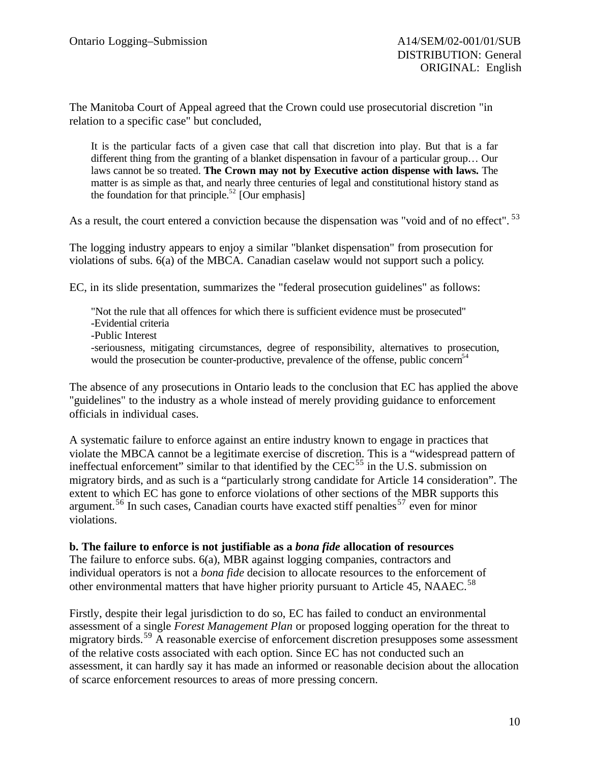The Manitoba Court of Appeal agreed that the Crown could use prosecutorial discretion "in relation to a specific case" but concluded,

It is the particular facts of a given case that call that discretion into play. But that is a far different thing from the granting of a blanket dispensation in favour of a particular group… Our laws cannot be so treated. **The Crown may not by Executive action dispense with laws.** The matter is as simple as that, and nearly three centuries of legal and constitutional history stand as the foundation for that principle.<sup>52</sup> [Our emphasis]

As a result, the court entered a conviction because the dispensation was "void and of no effect". <sup>53</sup>

The logging industry appears to enjoy a similar "blanket dispensation" from prosecution for violations of subs. 6(a) of the MBCA. Canadian caselaw would not support such a policy.

EC, in its slide presentation, summarizes the "federal prosecution guidelines" as follows:

"Not the rule that all offences for which there is sufficient evidence must be prosecuted" -Evidential criteria -Public Interest -seriousness, mitigating circumstances, degree of responsibility, alternatives to prosecution, would the prosecution be counter-productive, prevalence of the offense, public concern<sup>54</sup>

The absence of any prosecutions in Ontario leads to the conclusion that EC has applied the above "guidelines" to the industry as a whole instead of merely providing guidance to enforcement officials in individual cases.

A systematic failure to enforce against an entire industry known to engage in practices that violate the MBCA cannot be a legitimate exercise of discretion. This is a "widespread pattern of ineffectual enforcement" similar to that identified by the  $CEC<sup>55</sup>$  in the U.S. submission on migratory birds, and as such is a "particularly strong candidate for Article 14 consideration". The extent to which EC has gone to enforce violations of other sections of the MBR supports this argument.<sup>56</sup> In such cases, Canadian courts have exacted stiff penalties<sup>57</sup> even for minor violations.

### **b. The failure to enforce is not justifiable as a** *bona fide* **allocation of resources**

The failure to enforce subs. 6(a), MBR against logging companies, contractors and individual operators is not a *bona fide* decision to allocate resources to the enforcement of other environmental matters that have higher priority pursuant to Article 45, NAAEC.<sup>58</sup>

Firstly, despite their legal jurisdiction to do so, EC has failed to conduct an environmental assessment of a single *Forest Management Plan* or proposed logging operation for the threat to migratory birds.<sup>59</sup> A reasonable exercise of enforcement discretion presupposes some assessment of the relative costs associated with each option. Since EC has not conducted such an assessment, it can hardly say it has made an informed or reasonable decision about the allocation of scarce enforcement resources to areas of more pressing concern.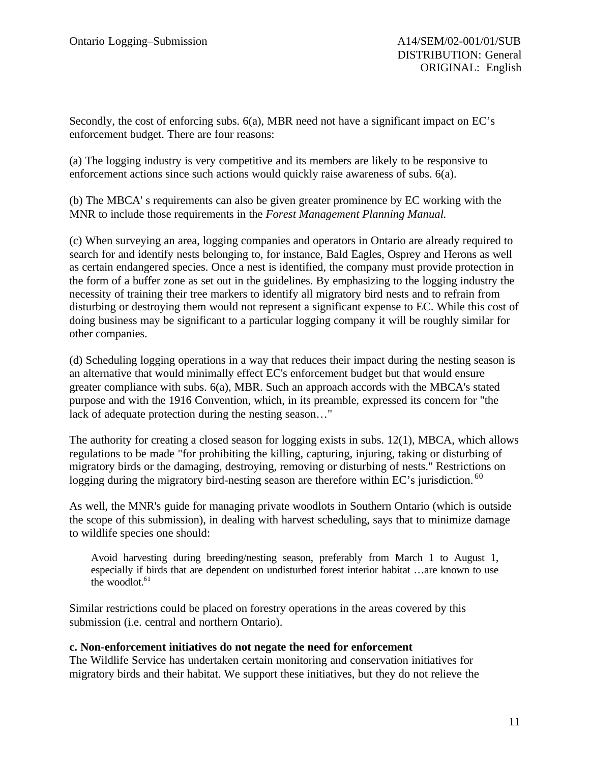Secondly, the cost of enforcing subs. 6(a), MBR need not have a significant impact on EC's enforcement budget. There are four reasons:

(a) The logging industry is very competitive and its members are likely to be responsive to enforcement actions since such actions would quickly raise awareness of subs. 6(a).

(b) The MBCA' s requirements can also be given greater prominence by EC working with the MNR to include those requirements in the *Forest Management Planning Manual.*

(c) When surveying an area, logging companies and operators in Ontario are already required to search for and identify nests belonging to, for instance, Bald Eagles, Osprey and Herons as well as certain endangered species. Once a nest is identified, the company must provide protection in the form of a buffer zone as set out in the guidelines. By emphasizing to the logging industry the necessity of training their tree markers to identify all migratory bird nests and to refrain from disturbing or destroying them would not represent a significant expense to EC. While this cost of doing business may be significant to a particular logging company it will be roughly similar for other companies.

(d) Scheduling logging operations in a way that reduces their impact during the nesting season is an alternative that would minimally effect EC's enforcement budget but that would ensure greater compliance with subs. 6(a), MBR. Such an approach accords with the MBCA's stated purpose and with the 1916 Convention, which, in its preamble, expressed its concern for "the lack of adequate protection during the nesting season…"

The authority for creating a closed season for logging exists in subs. 12(1), MBCA, which allows regulations to be made "for prohibiting the killing, capturing, injuring, taking or disturbing of migratory birds or the damaging, destroying, removing or disturbing of nests." Restrictions on logging during the migratory bird-nesting season are therefore within EC's jurisdiction.<sup>60</sup>

As well, the MNR's guide for managing private woodlots in Southern Ontario (which is outside the scope of this submission), in dealing with harvest scheduling, says that to minimize damage to wildlife species one should:

Avoid harvesting during breeding/nesting season, preferably from March 1 to August 1, especially if birds that are dependent on undisturbed forest interior habitat …are known to use the woodlot. $61$ 

Similar restrictions could be placed on forestry operations in the areas covered by this submission (i.e. central and northern Ontario).

### **c. Non-enforcement initiatives do not negate the need for enforcement**

The Wildlife Service has undertaken certain monitoring and conservation initiatives for migratory birds and their habitat. We support these initiatives, but they do not relieve the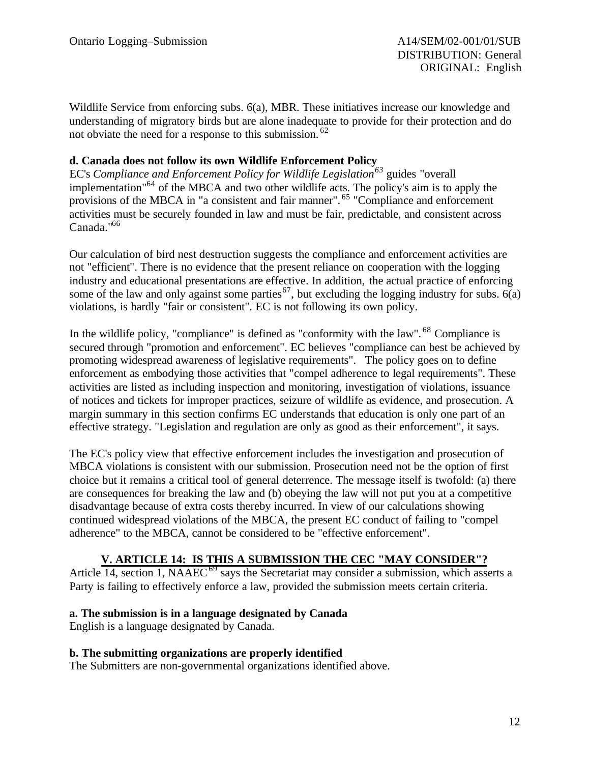Wildlife Service from enforcing subs. 6(a), MBR. These initiatives increase our knowledge and understanding of migratory birds but are alone inadequate to provide for their protection and do not obviate the need for a response to this submission.<sup>62</sup>

### **d. Canada does not follow its own Wildlife Enforcement Policy**

EC's *Compliance and Enforcement Policy for Wildlife Legislation<sup>63</sup>* guides "overall implementation"<sup>64</sup> of the MBCA and two other wildlife acts. The policy's aim is to apply the provisions of the MBCA in "a consistent and fair manner". <sup>65</sup> "Compliance and enforcement" activities must be securely founded in law and must be fair, predictable, and consistent across Canada."<sup>66</sup>

Our calculation of bird nest destruction suggests the compliance and enforcement activities are not "efficient". There is no evidence that the present reliance on cooperation with the logging industry and educational presentations are effective. In addition, the actual practice of enforcing some of the law and only against some parties<sup>67</sup>, but excluding the logging industry for subs. 6(a) violations, is hardly "fair or consistent". EC is not following its own policy.

In the wildlife policy, "compliance" is defined as "conformity with the law". <sup>68</sup> Compliance is secured through "promotion and enforcement". EC believes "compliance can best be achieved by promoting widespread awareness of legislative requirements". The policy goes on to define enforcement as embodying those activities that "compel adherence to legal requirements". These activities are listed as including inspection and monitoring, investigation of violations, issuance of notices and tickets for improper practices, seizure of wildlife as evidence, and prosecution. A margin summary in this section confirms EC understands that education is only one part of an effective strategy. "Legislation and regulation are only as good as their enforcement", it says.

The EC's policy view that effective enforcement includes the investigation and prosecution of MBCA violations is consistent with our submission. Prosecution need not be the option of first choice but it remains a critical tool of general deterrence. The message itself is twofold: (a) there are consequences for breaking the law and (b) obeying the law will not put you at a competitive disadvantage because of extra costs thereby incurred. In view of our calculations showing continued widespread violations of the MBCA, the present EC conduct of failing to "compel adherence" to the MBCA, cannot be considered to be "effective enforcement".

### **V. ARTICLE 14: IS THIS A SUBMISSION THE CEC "MAY CONSIDER"?**

Article 14, section 1, NAAEC<sup>69</sup> says the Secretariat may consider a submission, which asserts a Party is failing to effectively enforce a law, provided the submission meets certain criteria.

### **a. The submission is in a language designated by Canada**

English is a language designated by Canada.

### **b. The submitting organizations are properly identified**

The Submitters are non-governmental organizations identified above.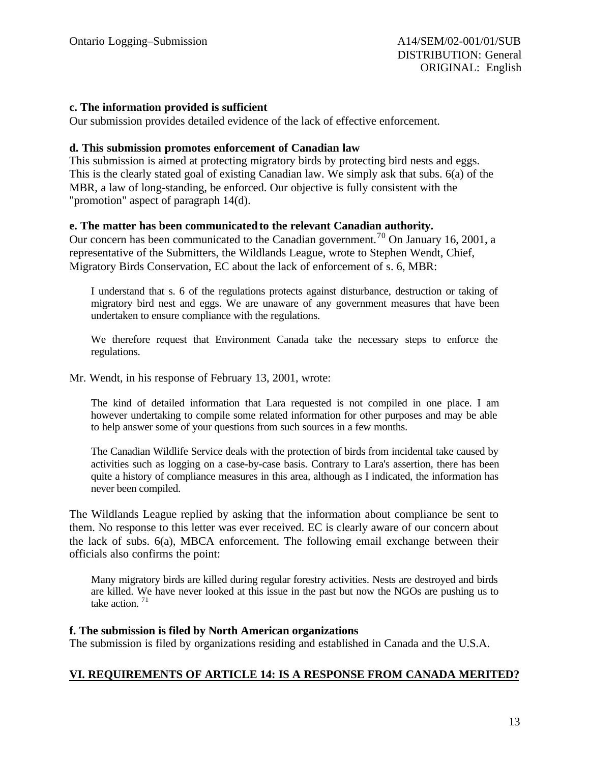### **c. The information provided is sufficient**

Our submission provides detailed evidence of the lack of effective enforcement.

#### **d. This submission promotes enforcement of Canadian law**

This submission is aimed at protecting migratory birds by protecting bird nests and eggs. This is the clearly stated goal of existing Canadian law. We simply ask that subs. 6(a) of the MBR, a law of long-standing, be enforced. Our objective is fully consistent with the "promotion" aspect of paragraph 14(d).

### **e. The matter has been communicatedto the relevant Canadian authority.**

Our concern has been communicated to the Canadian government.<sup>70</sup> On January 16, 2001, a representative of the Submitters, the Wildlands League, wrote to Stephen Wendt, Chief, Migratory Birds Conservation, EC about the lack of enforcement of s. 6, MBR:

I understand that s. 6 of the regulations protects against disturbance, destruction or taking of migratory bird nest and eggs. We are unaware of any government measures that have been undertaken to ensure compliance with the regulations.

We therefore request that Environment Canada take the necessary steps to enforce the regulations.

#### Mr. Wendt, in his response of February 13, 2001, wrote:

The kind of detailed information that Lara requested is not compiled in one place. I am however undertaking to compile some related information for other purposes and may be able to help answer some of your questions from such sources in a few months.

The Canadian Wildlife Service deals with the protection of birds from incidental take caused by activities such as logging on a case-by-case basis. Contrary to Lara's assertion, there has been quite a history of compliance measures in this area, although as I indicated, the information has never been compiled.

The Wildlands League replied by asking that the information about compliance be sent to them. No response to this letter was ever received. EC is clearly aware of our concern about the lack of subs. 6(a), MBCA enforcement. The following email exchange between their officials also confirms the point:

Many migratory birds are killed during regular forestry activities. Nests are destroyed and birds are killed. We have never looked at this issue in the past but now the NGOs are pushing us to take action.  $71$ 

#### **f. The submission is filed by North American organizations**

The submission is filed by organizations residing and established in Canada and the U.S.A.

### **VI. REQUIREMENTS OF ARTICLE 14: IS A RESPONSE FROM CANADA MERITED?**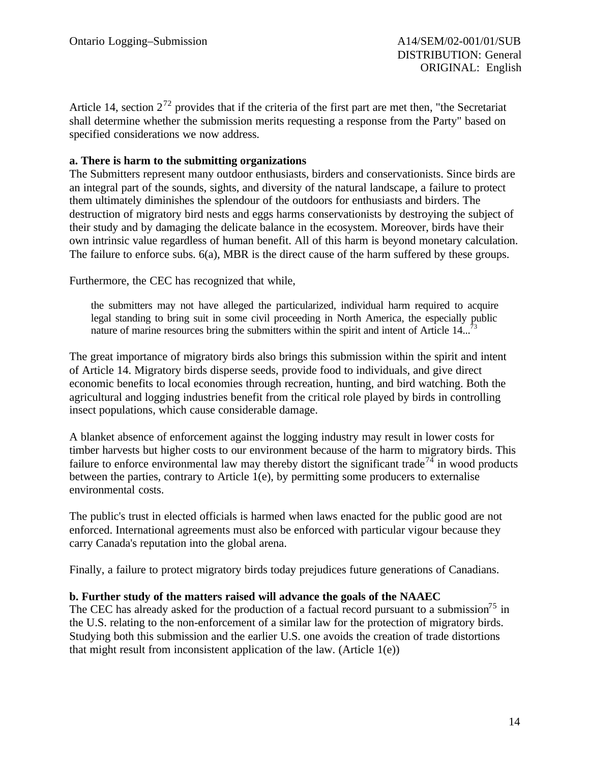Article 14, section  $2^{72}$  provides that if the criteria of the first part are met then, "the Secretariat" shall determine whether the submission merits requesting a response from the Party" based on specified considerations we now address.

### **a. There is harm to the submitting organizations**

The Submitters represent many outdoor enthusiasts, birders and conservationists. Since birds are an integral part of the sounds, sights, and diversity of the natural landscape, a failure to protect them ultimately diminishes the splendour of the outdoors for enthusiasts and birders. The destruction of migratory bird nests and eggs harms conservationists by destroying the subject of their study and by damaging the delicate balance in the ecosystem. Moreover, birds have their own intrinsic value regardless of human benefit. All of this harm is beyond monetary calculation. The failure to enforce subs. 6(a), MBR is the direct cause of the harm suffered by these groups.

Furthermore, the CEC has recognized that while,

the submitters may not have alleged the particularized, individual harm required to acquire legal standing to bring suit in some civil proceeding in North America, the especially public nature of marine resources bring the submitters within the spirit and intent of Article  $14...$ <sup>73</sup>

The great importance of migratory birds also brings this submission within the spirit and intent of Article 14. Migratory birds disperse seeds, provide food to individuals, and give direct economic benefits to local economies through recreation, hunting, and bird watching. Both the agricultural and logging industries benefit from the critical role played by birds in controlling insect populations, which cause considerable damage.

A blanket absence of enforcement against the logging industry may result in lower costs for timber harvests but higher costs to our environment because of the harm to migratory birds. This failure to enforce environmental law may thereby distort the significant trade<sup>74</sup> in wood products between the parties, contrary to Article 1(e), by permitting some producers to externalise environmental costs.

The public's trust in elected officials is harmed when laws enacted for the public good are not enforced. International agreements must also be enforced with particular vigour because they carry Canada's reputation into the global arena.

Finally, a failure to protect migratory birds today prejudices future generations of Canadians.

### **b. Further study of the matters raised will advance the goals of the NAAEC**

The CEC has already asked for the production of a factual record pursuant to a submission<sup>75</sup> in the U.S. relating to the non-enforcement of a similar law for the protection of migratory birds. Studying both this submission and the earlier U.S. one avoids the creation of trade distortions that might result from inconsistent application of the law. (Article  $1(e)$ )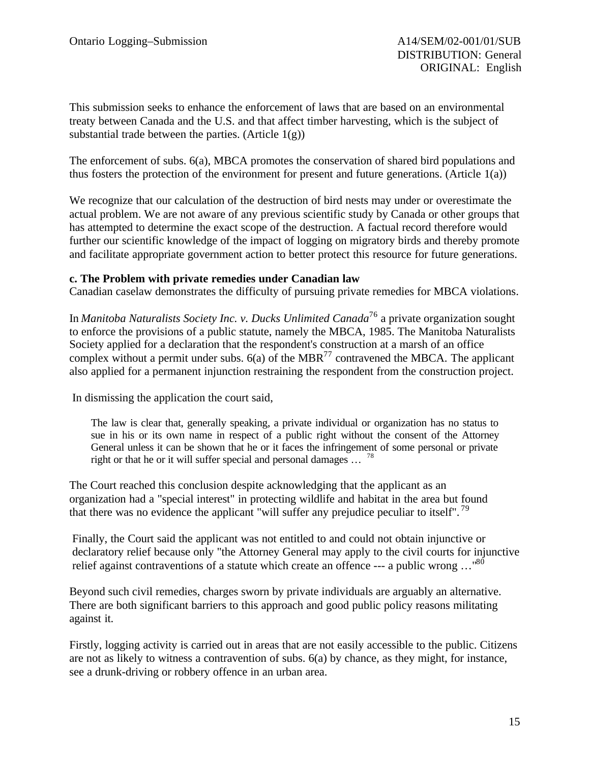This submission seeks to enhance the enforcement of laws that are based on an environmental treaty between Canada and the U.S. and that affect timber harvesting, which is the subject of substantial trade between the parties. (Article  $1(g)$ )

The enforcement of subs. 6(a), MBCA promotes the conservation of shared bird populations and thus fosters the protection of the environment for present and future generations. (Article 1(a))

We recognize that our calculation of the destruction of bird nests may under or overestimate the actual problem. We are not aware of any previous scientific study by Canada or other groups that has attempted to determine the exact scope of the destruction. A factual record therefore would further our scientific knowledge of the impact of logging on migratory birds and thereby promote and facilitate appropriate government action to better protect this resource for future generations.

### **c. The Problem with private remedies under Canadian law**

Canadian caselaw demonstrates the difficulty of pursuing private remedies for MBCA violations.

In *Manitoba Naturalists Society Inc. v. Ducks Unlimited Canada*<sup>76</sup> a private organization sought to enforce the provisions of a public statute, namely the MBCA, 1985. The Manitoba Naturalists Society applied for a declaration that the respondent's construction at a marsh of an office complex without a permit under subs.  $6(a)$  of the MBR<sup>77</sup> contravened the MBCA. The applicant also applied for a permanent injunction restraining the respondent from the construction project.

In dismissing the application the court said,

The law is clear that, generally speaking, a private individual or organization has no status to sue in his or its own name in respect of a public right without the consent of the Attorney General unless it can be shown that he or it faces the infringement of some personal or private right or that he or it will suffer special and personal damages ... <sup>78</sup>

The Court reached this conclusion despite acknowledging that the applicant as an organization had a "special interest" in protecting wildlife and habitat in the area but found that there was no evidence the applicant "will suffer any prejudice peculiar to itself".<sup>79</sup>

Finally, the Court said the applicant was not entitled to and could not obtain injunctive or declaratory relief because only "the Attorney General may apply to the civil courts for injunctive relief against contraventions of a statute which create an offence --- a public wrong …"<sup>80</sup>

Beyond such civil remedies, charges sworn by private individuals are arguably an alternative. There are both significant barriers to this approach and good public policy reasons militating against it.

Firstly, logging activity is carried out in areas that are not easily accessible to the public. Citizens are not as likely to witness a contravention of subs. 6(a) by chance, as they might, for instance, see a drunk-driving or robbery offence in an urban area.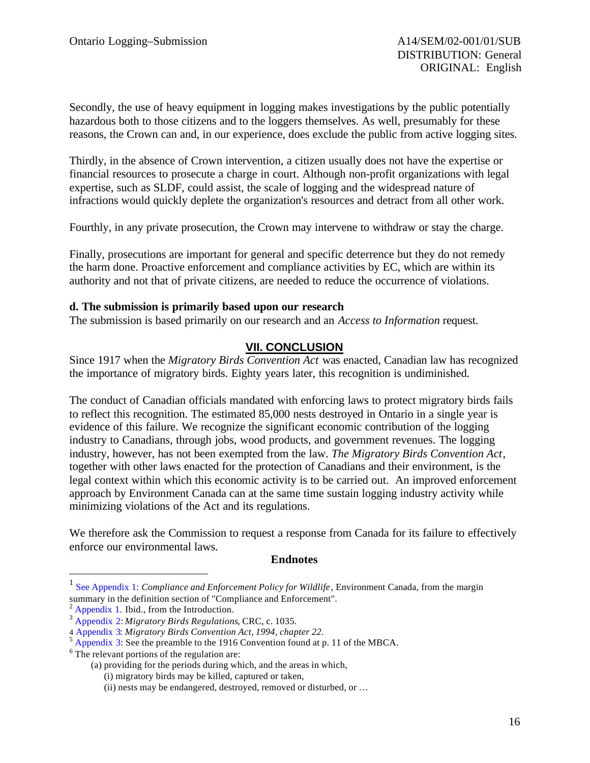Secondly, the use of heavy equipment in logging makes investigations by the public potentially hazardous both to those citizens and to the loggers themselves. As well, presumably for these reasons, the Crown can and, in our experience, does exclude the public from active logging sites.

Thirdly, in the absence of Crown intervention, a citizen usually does not have the expertise or financial resources to prosecute a charge in court. Although non-profit organizations with legal expertise, such as SLDF, could assist, the scale of logging and the widespread nature of infractions would quickly deplete the organization's resources and detract from all other work.

Fourthly, in any private prosecution, the Crown may intervene to withdraw or stay the charge.

Finally, prosecutions are important for general and specific deterrence but they do not remedy the harm done. Proactive enforcement and compliance activities by EC, which are within its authority and not that of private citizens, are needed to reduce the occurrence of violations.

### **d. The submission is primarily based upon our research**

The submission is based primarily on our research and an *Access to Information* request.

### **VII. CONCLUSION**

Since 1917 when the *Migratory Birds Convention Act* was enacted, Canadian law has recognized the importance of migratory birds. Eighty years later, this recognition is undiminished.

The conduct of Canadian officials mandated with enforcing laws to protect migratory birds fails to reflect this recognition. The estimated 85,000 nests destroyed in Ontario in a single year is evidence of this failure. We recognize the significant economic contribution of the logging industry to Canadians, through jobs, wood products, and government revenues. The logging industry, however, has not been exempted from the law. *The Migratory Birds Convention Act*, together with other laws enacted for the protection of Canadians and their environment, is the legal context within which this economic activity is to be carried out. An improved enforcement approach by Environment Canada can at the same time sustain logging industry activity while minimizing violations of the Act and its regulations.

We therefore ask the Commission to request a response from Canada for its failure to effectively enforce our environmental laws.

### **Endnotes**

 $\overline{a}$ 

<sup>&</sup>lt;sup>1</sup> See Appendix 1: *Compliance and Enforcement Policy for Wildlife*, Environment Canada, from the margin summary in the definition section of "Compliance and Enforcement".

 $2$  Appendix 1. Ibid., from the Introduction.

<sup>3</sup> Appendix 2: *Migratory Birds Regulations*, CRC, c. 1035.

<sup>4</sup> Appendix 3: *Migratory Birds Convention Act*, *1994, chapter 22*.

 $<sup>5</sup>$  Appendix 3: See the preamble to the 1916 Convention found at p. 11 of the MBCA.</sup>

<sup>&</sup>lt;sup>6</sup> The relevant portions of the regulation are:

<sup>(</sup>a) providing for the periods during which, and the areas in which,

<sup>(</sup>i) migratory birds may be killed, captured or taken,

<sup>(</sup>ii) nests may be endangered, destroyed, removed or disturbed, or …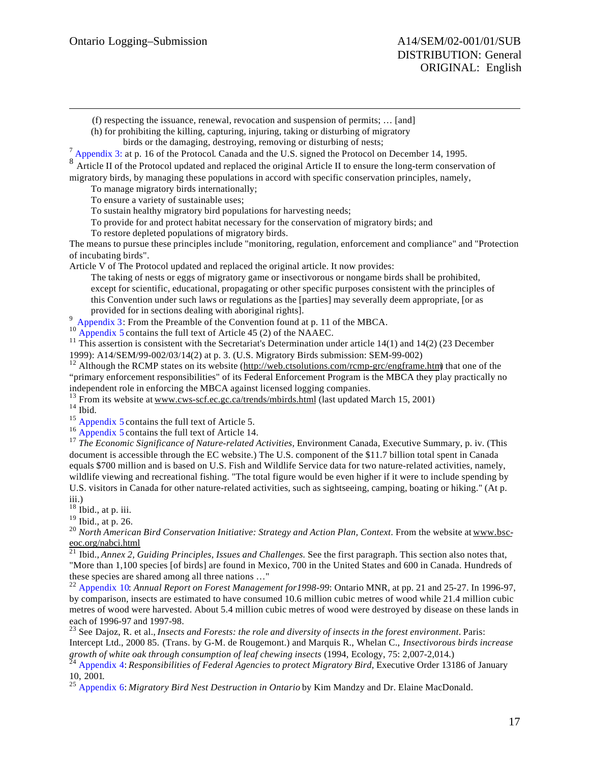(f) respecting the issuance, renewal, revocation and suspension of permits; … [and]

(h) for prohibiting the killing, capturing, injuring, taking or disturbing of migratory

birds or the damaging, destroying, removing or disturbing of nests;

 $<sup>7</sup>$  Appendix 3: at p. 16 of the Protocol. Canada and the U.S. signed the Protocol on December 14, 1995.</sup>

Article II of the Protocol updated and replaced the original Article II to ensure the long-term conservation of

migratory birds, by managing these populations in accord with specific conservation principles, namely,

To manage migratory birds internationally;

To ensure a variety of sustainable uses;

To sustain healthy migratory bird populations for harvesting needs;

To provide for and protect habitat necessary for the conservation of migratory birds; and

To restore depleted populations of migratory birds.

The means to pursue these principles include "monitoring, regulation, enforcement and compliance" and "Protection of incubating birds".

Article V of The Protocol updated and replaced the original article. It now provides:

The taking of nests or eggs of migratory game or insectivorous or nongame birds shall be prohibited, except for scientific, educational, propagating or other specific purposes consistent with the principles of this Convention under such laws or regulations as the [parties] may severally deem appropriate, [or as provided for in sections dealing with aboriginal rights].

<sup>9</sup> Appendix 3: From the Preamble of the Convention found at p. 11 of the MBCA.

 $10$  Appendix 5 contains the full text of Article 45 (2) of the NAAEC.

<sup>11</sup> This assertion is consistent with the Secretariat's Determination under article 14(1) and 14(2) (23 December 1999): A14/SEM/99-002/03/14(2) at p. 3. (U.S. Migratory Birds submission: SEM-99-002)

<sup>12</sup> Although the RCMP states on its website (http://web.ctsolutions.com/rcmp-grc/engframe.htm) that one of the "primary enforcement responsibilities" of its Federal Enforcement Program is the MBCA they play practically no independent role in enforcing the MBCA against licensed logging companies.

<sup>13</sup> From its website at www.cws-scf.ec.gc.ca/trends/mbirds.html (last updated March 15, 2001)

 $^{14}$  Ibid.

 $\overline{a}$ 

<sup>15</sup> Appendix 5 contains the full text of Article 5.

<sup>16</sup> Appendix 5 contains the full text of Article 14.

<sup>17</sup> The Economic Significance of Nature-related Activities, Environment Canada, Executive Summary, p. iv. (This document is accessible through the EC website.) The U.S. component of the \$11.7 billion total spent in Canada equals \$700 million and is based on U.S. Fish and Wildlife Service data for two nature-related activities, namely, wildlife viewing and recreational fishing. "The total figure would be even higher if it were to include spending by U.S. visitors in Canada for other nature-related activities, such as sightseeing, camping, boating or hiking." (At p. iii.)

 $18$  Ibid., at p. iii.

<sup>19</sup> Ibid., at p. 26.

<sup>20</sup> North American Bird Conservation Initiative: Strategy and Action Plan, Context. From the website at www.bsceoc.org/nabci.html

<sup>21</sup> Ibid., *Annex 2, Guiding Principles, Issues and Challenges.* See the first paragraph. This section also notes that, "More than 1,100 species [of birds] are found in Mexico, 700 in the United States and 600 in Canada. Hundreds of these species are shared among all three nations …"

<sup>22</sup> Appendix 10: *Annual Report on Forest Management for1998-99*: Ontario MNR, at pp. 21 and 25-27. In 1996-97, by comparison, insects are estimated to have consumed 10.6 million cubic metres of wood while 21.4 million cubic metres of wood were harvested. About 5.4 million cubic metres of wood were destroyed by disease on these lands in each of 1996-97 and 1997-98.

<sup>23</sup> See Dajoz, R. et al., *Insects and Forests: the role and diversity of insects in the forest environment*. Paris: Intercept Ltd., 2000 85. (Trans. by G-M. de Rougemont.) and Marquis R., Whelan C., *Insectivorous birds increase growth of white oak through consumption of leaf chewing insects* (1994, Ecology, 75: 2,007-2,014.)

<sup>24</sup> Appendix 4: *Responsibilities of Federal Agencies to protect Migratory Bird,* Executive Order 13186 of January 10, 2001*.*

<sup>25</sup> Appendix 6: *Migratory Bird Nest Destruction in Ontario* by Kim Mandzy and Dr. Elaine MacDonald.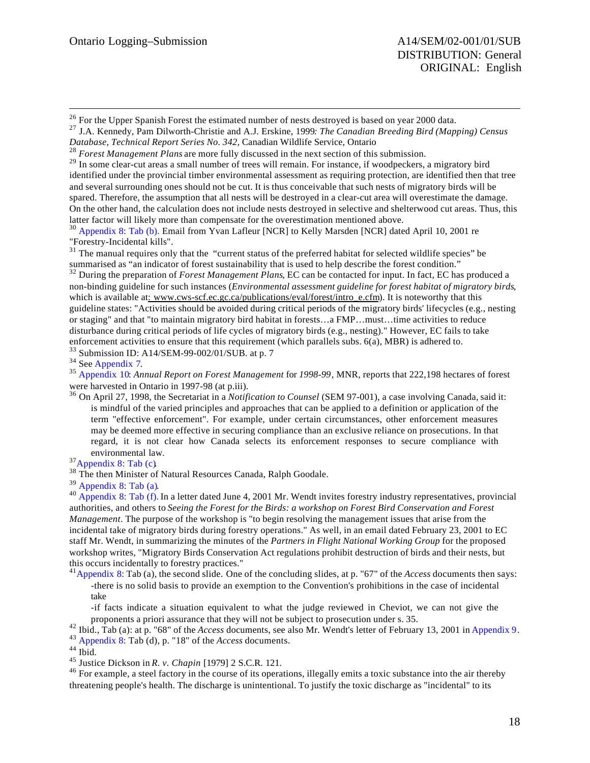$\overline{a}$ 

<sup>26</sup> For the Upper Spanish Forest the estimated number of nests destroyed is based on year 2000 data.

<sup>27</sup> J.A. Kennedy, Pam Dilworth-Christie and A.J. Erskine, 1999*: The Canadian Breeding Bird (Mapping) Census Database, Technical Report Series No. 342,* Canadian Wildlife Service, Ontario

<sup>28</sup> *Forest Management Plans* are more fully discussed in the next section of this submission.

<sup>29</sup> In some clear-cut areas a small number of trees will remain. For instance, if woodpeckers, a migratory bird identified under the provincial timber environmental assessment as requiring protection, are identified then that tree and several surrounding ones should not be cut. It is thus conceivable that such nests of migratory birds will be spared. Therefore, the assumption that all nests will be destroyed in a clear-cut area will overestimate the damage. On the other hand, the calculation does not include nests destroyed in selective and shelterwood cut areas. Thus, this latter factor will likely more than compensate for the overestimation mentioned above.

<sup>30</sup> Appendix 8: Tab (b). Email from Yvan Lafleur [NCR] to Kelly Marsden [NCR] dated April 10, 2001 re "Forestry-Incidental kills".

 $31$  The manual requires only that the "current status of the preferred habitat for selected wildlife species" be summarised as "an indicator of forest sustainability that is used to help describe the forest condition."

<sup>32</sup> During the preparation of *Forest Management Plans*, EC can be contacted for input. In fact, EC has produced a non-binding guideline for such instances (*Environmental assessment guideline for forest habitat of migratory birds*, which is available at: www.cws-scf.ec.gc.ca/publications/eval/forest/intro\_e.cfm). It is noteworthy that this guideline states: "Activities should be avoided during critical periods of the migratory birds' lifecycles (e.g., nesting or staging" and that "to maintain migratory bird habitat in forests…a FMP…must…time activities to reduce disturbance during critical periods of life cycles of migratory birds (e.g., nesting)." However, EC fails to take enforcement activities to ensure that this requirement (which parallels subs. 6(a), MBR) is adhered to.

<sup>33</sup> Submission ID: A14/SEM-99-002/01/SUB. at p. 7

<sup>34</sup> See Appendix 7.

<sup>35</sup> Appendix 10: *Annual Report on Forest Management* for *1998-99*, MNR, reports that 222,198 hectares of forest were harvested in Ontario in 1997-98 (at p.iii).

<sup>36</sup> On April 27, 1998, the Secretariat in a *Notification to Counsel* (SEM 97-001), a case involving Canada*,* said it: is mindful of the varied principles and approaches that can be applied to a definition or application of the term "effective enforcement". For example, under certain circumstances, other enforcement measures may be deemed more effective in securing compliance than an exclusive reliance on prosecutions. In that regard, it is not clear how Canada selects its enforcement responses to secure compliance with environmental law.

 $37$ Appendix 8: Tab (c).

<sup>38</sup> The then Minister of Natural Resources Canada, Ralph Goodale.

<sup>39</sup> Appendix 8: Tab (a).

<sup>40</sup> Appendix 8: Tab (f). In a letter dated June 4, 2001 Mr. Wendt invites forestry industry representatives, provincial authorities, and others to *Seeing the Forest for the Birds: a workshop on Forest Bird Conservation and Forest Management*. The purpose of the workshop is "to begin resolving the management issues that arise from the incidental take of migratory birds during forestry operations." As well, in an email dated February 23, 2001 to EC staff Mr. Wendt, in summarizing the minutes of the *Partners in Flight National Working Group* for the proposed workshop writes, "Migratory Birds Conservation Act regulations prohibit destruction of birds and their nests, but this occurs incidentally to forestry practices."

<sup>41</sup>Appendix 8: Tab (a), the second slide. One of the concluding slides, at p. "67" of the *Access* documents then says: -there is no solid basis to provide an exemption to the Convention's prohibitions in the case of incidental take

-if facts indicate a situation equivalent to what the judge reviewed in Cheviot, we can not give the proponents a priori assurance that they will not be subject to prosecution under s. 35.

<sup>42</sup> Ibid., Tab (a): at p. "68" of the *Access* documents, see also Mr. Wendt's letter of February 13, 2001 in Appendix 9. <sup>43</sup> Appendix 8: Tab (d), p. "18" of the *Access* documents.

 $44$  Ibid.

<sup>45</sup> Justice Dickson in *R. v. Chapin* [1979] 2 S.C.R. 121.

<sup>46</sup> For example, a steel factory in the course of its operations, illegally emits a toxic substance into the air thereby threatening people's health. The discharge is unintentional. To justify the toxic discharge as "incidental" to its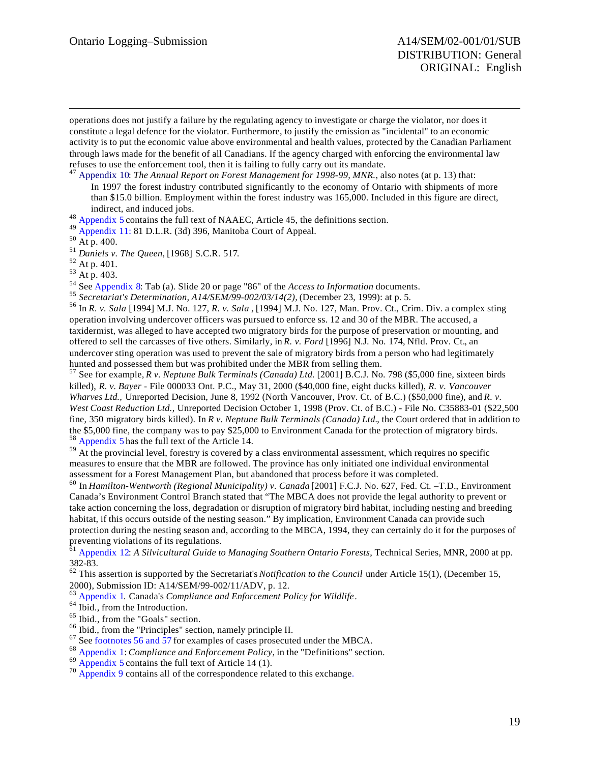operations does not justify a failure by the regulating agency to investigate or charge the violator, nor does it constitute a legal defence for the violator. Furthermore, to justify the emission as "incidental" to an economic activity is to put the economic value above environmental and health values, protected by the Canadian Parliament through laws made for the benefit of all Canadians. If the agency charged with enforcing the environmental law refuses to use the enforcement tool, then it is failing to fully carry out its mandate.

<sup>47</sup> Appendix 10: *The Annual Report on Forest Management for 1998-99, MNR.*, also notes (at p. 13) that: In 1997 the forest industry contributed significantly to the economy of Ontario with shipments of more than \$15.0 billion. Employment within the forest industry was 165,000. Included in this figure are direct, indirect, and induced jobs.

<sup>48</sup> Appendix 5 contains the full text of NAAEC, Article 45, the definitions section.

<sup>49</sup> Appendix 11: 81 D.L.R. (3d) 396, Manitoba Court of Appeal.

 $\overline{a}$ 

<sup>51</sup> *Daniels v. The Queen*, [1968] S.C.R. 517.

<sup>52</sup> At p. 401.

<sup>53</sup> At p. 403.

<sup>54</sup> See Appendix 8: Tab (a). Slide 20 or page "86" of the *Access to Information* documents.

<sup>55</sup> *Secretariat's Determination, A14/SEM/99-002/03/14(2),* (December 23, 1999): at p. 5.

<sup>56</sup> In *R. v. Sala* [1994] M.J. No. 127, *R. v. Sala ,* [1994] M.J. No. 127, Man. Prov. Ct., Crim. Div. a complex sting operation involving undercover officers was pursued to enforce ss. 12 and 30 of the MBR. The accused, a taxidermist, was alleged to have accepted two migratory birds for the purpose of preservation or mounting, and offered to sell the carcasses of five others. Similarly, in *R. v. Ford* [1996] N.J. No. 174, Nfld. Prov. Ct., an undercover sting operation was used to prevent the sale of migratory birds from a person who had legitimately hunted and possessed them but was prohibited under the MBR from selling them.

<sup>57</sup> See for example, *R v. Neptune Bulk Terminals (Canada) Ltd.* [2001] B.C.J. No. 798 (\$5,000 fine, sixteen birds killed), *R. v. Bayer* - File 000033 Ont. P.C., May 31, 2000 (\$40,000 fine, eight ducks killed), *R. v. Vancouver Wharves Ltd.,* Unreported Decision, June 8, 1992 (North Vancouver, Prov. Ct. of B.C.) (\$50,000 fine), and *R. v. West Coast Reduction Ltd.,* Unreported Decision October 1, 1998 (Prov. Ct. of B.C.) - File No. C35883-01 (\$22,500 fine, 350 migratory birds killed). In *R v. Neptune Bulk Terminals (Canada) Ltd.*, the Court ordered that in addition to the \$5,000 fine, the company was to pay \$25,000 to Environment Canada for the protection of migratory birds. <sup>58</sup> Appendix 5 has the full text of the Article 14.

<sup>59</sup> At the provincial level, forestry is covered by a class environmental assessment, which requires no specific measures to ensure that the MBR are followed. The province has only initiated one individual environmental assessment for a Forest Management Plan, but abandoned that process before it was completed.

<sup>60</sup> In *Hamilton-Wentworth (Regional Municipality) v. Canada* [2001] F.C.J. No. 627, Fed. Ct. –T.D., Environment Canada's Environment Control Branch stated that "The MBCA does not provide the legal authority to prevent or take action concerning the loss, degradation or disruption of migratory bird habitat, including nesting and breeding habitat, if this occurs outside of the nesting season." By implication, Environment Canada can provide such protection during the nesting season and, according to the MBCA, 1994, they can certainly do it for the purposes of preventing violations of its regulations.

<sup>61</sup> Appendix 12: *A Silvicultural Guide to Managing Southern Ontario Forests*, Technical Series, MNR, 2000 at pp. 382-83.

<sup>62</sup> This assertion is supported by the Secretariat's *Notification to the Council* under Article 15(1), (December 15, 2000), Submission ID: A14/SEM/99-002/11/ADV, p. 12.

<sup>63</sup> Appendix 1. Canada's *Compliance and Enforcement Policy for Wildlife*.

<sup>64</sup> Ibid., from the Introduction.

<sup>65</sup> Ibid., from the "Goals" section.

<sup>66</sup> Ibid., from the "Principles" section, namely principle II.

<sup>67</sup> See footnotes 56 and 57 for examples of cases prosecuted under the MBCA.

<sup>68</sup> Appendix 1: *Compliance and Enforcement Policy*, in the "Definitions" section.

 $69$  Appendix 5 contains the full text of Article 14 (1).

<sup>70</sup> Appendix 9 contains all of the correspondence related to this exchange.

 $50$  At p. 400.